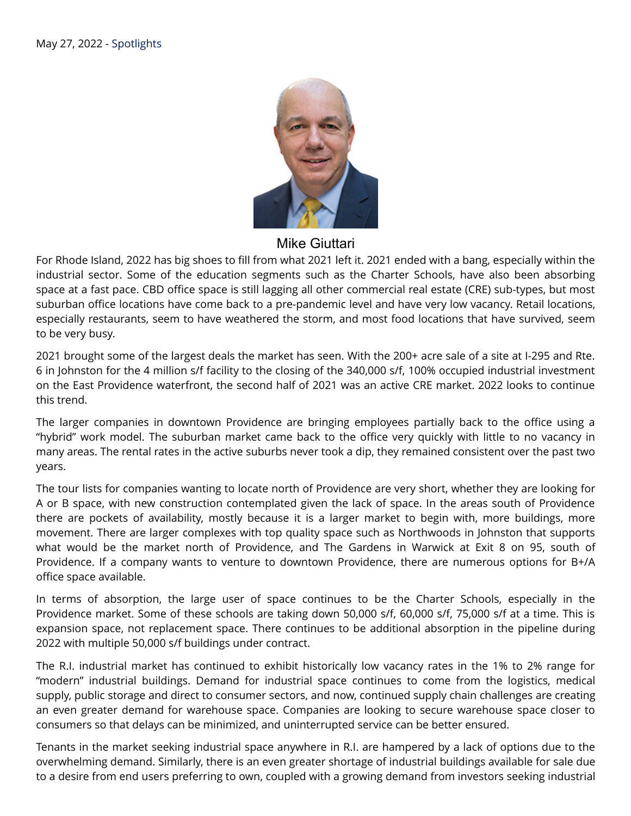

Mike Giuttari

For Rhode Island, 2022 has big shoes to fill from what 2021 left it. 2021 ended with a bang, especially within the industrial sector. Some of the education segments such as the Charter Schools, have also been absorbing space at a fast pace. CBD office space is still lagging all other commercial real estate (CRE) sub-types, but most suburban office locations have come back to a pre-pandemic level and have very low vacancy. Retail locations, especially restaurants, seem to have weathered the storm, and most food locations that have survived, seem to be very busy.

2021 brought some of the largest deals the market has seen. With the 200+ acre sale of a site at I-295 and Rte. 6 in Johnston for the 4 million s/f facility to the closing of the 340,000 s/f, 100% occupied industrial investment on the East Providence waterfront, the second half of 2021 was an active CRE market. 2022 looks to continue this trend.

The larger companies in downtown Providence are bringing employees partially back to the office using a "hybrid" work model. The suburban market came back to the office very quickly with little to no vacancy in many areas. The rental rates in the active suburbs never took a dip, they remained consistent over the past two years.

The tour lists for companies wanting to locate north of Providence are very short, whether they are looking for A or B space, with new construction contemplated given the lack of space. In the areas south of Providence there are pockets of availability, mostly because it is a larger market to begin with, more buildings, more movement. There are larger complexes with top quality space such as Northwoods in Johnston that supports what would be the market north of Providence, and The Gardens in Warwick at Exit 8 on 95, south of Providence. If a company wants to venture to downtown Providence, there are numerous options for B+/A office space available.

In terms of absorption, the large user of space continues to be the Charter Schools, especially in the Providence market. Some of these schools are taking down 50,000 s/f, 60,000 s/f, 75,000 s/f at a time. This is expansion space, not replacement space. There continues to be additional absorption in the pipeline during 2022 with multiple 50,000 s/f buildings under contract.

The R.I. industrial market has continued to exhibit historically low vacancy rates in the 1% to 2% range for "modern" industrial buildings. Demand for industrial space continues to come from the logistics, medical supply, public storage and direct to consumer sectors, and now, continued supply chain challenges are creating an even greater demand for warehouse space. Companies are looking to secure warehouse space closer to consumers so that delays can be minimized, and uninterrupted service can be better ensured.

Tenants in the market seeking industrial space anywhere in R.I. are hampered by a lack of options due to the overwhelming demand. Similarly, there is an even greater shortage of industrial buildings available for sale due to a desire from end users preferring to own, coupled with a growing demand from investors seeking industrial